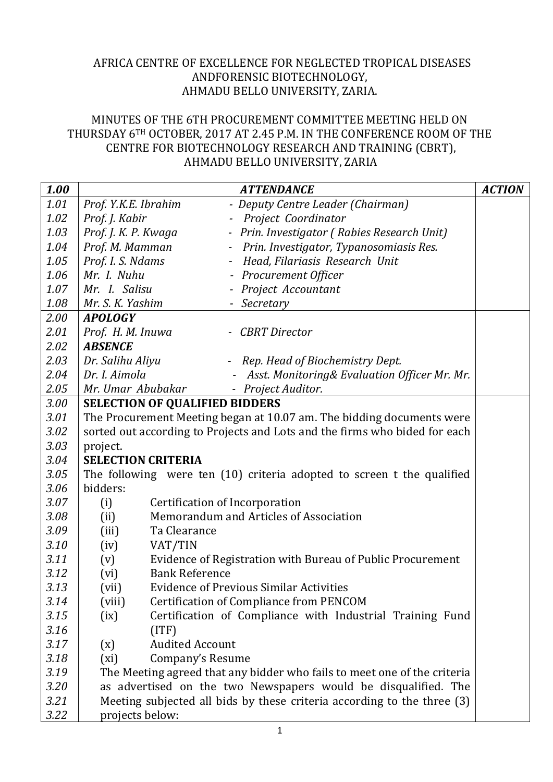## AFRICA CENTRE OF EXCELLENCE FOR NEGLECTED TROPICAL DISEASES ANDFORENSIC BIOTECHNOLOGY, AHMADU BELLO UNIVERSITY, ZARIA.

## MINUTES OF THE 6TH PROCUREMENT COMMITTEE MEETING HELD ON THURSDAY 6TH OCTOBER, 2017 AT 2.45 P.M. IN THE CONFERENCE ROOM OF THE CENTRE FOR BIOTECHNOLOGY RESEARCH AND TRAINING (CBRT), AHMADU BELLO UNIVERSITY, ZARIA

| 1.00 |                                                                            | <b>ATTENDANCE</b>                                              | <b>ACTION</b> |  |  |  |  |
|------|----------------------------------------------------------------------------|----------------------------------------------------------------|---------------|--|--|--|--|
| 1.01 | Prof. Y.K.E. Ibrahim                                                       | - Deputy Centre Leader (Chairman)                              |               |  |  |  |  |
| 1.02 | Prof. J. Kabir                                                             | Project Coordinator                                            |               |  |  |  |  |
| 1.03 | Prof. J. K. P. Kwaga                                                       | - Prin. Investigator (Rabies Research Unit)                    |               |  |  |  |  |
| 1.04 | Prof. M. Mamman                                                            | Prin. Investigator, Typanosomiasis Res.<br>$\blacksquare$      |               |  |  |  |  |
| 1.05 | Prof. I. S. Ndams                                                          | Head, Filariasis Research Unit<br>$\sim$                       |               |  |  |  |  |
| 1.06 | Mr. I. Nuhu                                                                | - Procurement Officer                                          |               |  |  |  |  |
| 1.07 | Mr. I. Salisu                                                              | - Project Accountant                                           |               |  |  |  |  |
| 1.08 | Mr. S. K. Yashim                                                           | - Secretary                                                    |               |  |  |  |  |
| 2.00 | <b>APOLOGY</b>                                                             |                                                                |               |  |  |  |  |
| 2.01 | Prof. H. M. Inuwa                                                          | - CBRT Director                                                |               |  |  |  |  |
| 2.02 | <b>ABSENCE</b>                                                             |                                                                |               |  |  |  |  |
| 2.03 | Dr. Salihu Aliyu                                                           | - Rep. Head of Biochemistry Dept.                              |               |  |  |  |  |
| 2.04 | Dr. I. Aimola                                                              | Asst. Monitoring& Evaluation Officer Mr. Mr.<br>$\blacksquare$ |               |  |  |  |  |
| 2.05 | Mr. Umar Abubakar                                                          | - Project Auditor.                                             |               |  |  |  |  |
| 3.00 | <b>SELECTION OF QUALIFIED BIDDERS</b>                                      |                                                                |               |  |  |  |  |
| 3.01 | The Procurement Meeting began at 10.07 am. The bidding documents were      |                                                                |               |  |  |  |  |
| 3.02 | sorted out according to Projects and Lots and the firms who bided for each |                                                                |               |  |  |  |  |
| 3.03 | project.                                                                   |                                                                |               |  |  |  |  |
| 3.04 | <b>SELECTION CRITERIA</b>                                                  |                                                                |               |  |  |  |  |
| 3.05 | The following were ten (10) criteria adopted to screen t the qualified     |                                                                |               |  |  |  |  |
| 3.06 | bidders:                                                                   |                                                                |               |  |  |  |  |
| 3.07 | (i)<br>Certification of Incorporation                                      |                                                                |               |  |  |  |  |
| 3.08 | Memorandum and Articles of Association<br>(ii)                             |                                                                |               |  |  |  |  |
| 3.09 | (iii)<br>Ta Clearance                                                      |                                                                |               |  |  |  |  |
| 3.10 | (iv)<br>VAT/TIN                                                            |                                                                |               |  |  |  |  |
| 3.11 | Evidence of Registration with Bureau of Public Procurement<br>(v)          |                                                                |               |  |  |  |  |
| 3.12 | <b>Bank Reference</b><br>(vi)                                              |                                                                |               |  |  |  |  |
| 3.13 | <b>Evidence of Previous Similar Activities</b><br>(vii)                    |                                                                |               |  |  |  |  |
| 3.14 | <b>Certification of Compliance from PENCOM</b><br>(viii)                   |                                                                |               |  |  |  |  |
| 3.15 | Certification of Compliance with Industrial Training Fund<br>(ix)          |                                                                |               |  |  |  |  |
| 3.16 | (ITF)                                                                      |                                                                |               |  |  |  |  |
| 3.17 | <b>Audited Account</b><br>(x)                                              |                                                                |               |  |  |  |  |
| 3.18 | (xi)<br>Company's Resume                                                   |                                                                |               |  |  |  |  |
| 3.19 | The Meeting agreed that any bidder who fails to meet one of the criteria   |                                                                |               |  |  |  |  |
| 3.20 | as advertised on the two Newspapers would be disqualified. The             |                                                                |               |  |  |  |  |
| 3.21 | Meeting subjected all bids by these criteria according to the three (3)    |                                                                |               |  |  |  |  |
| 3.22 | projects below:                                                            |                                                                |               |  |  |  |  |